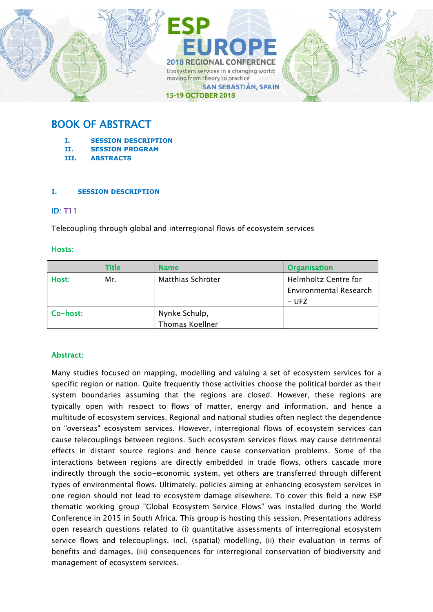

# BOOK OF ABSTRACT

- **I. SESSION DESCRIPTION**
- **II. SESSION PROGRAM**
- **III. ABSTRACTS**

# **I. SESSION DESCRIPTION**

# ID: T11

Telecoupling through global and interregional flows of ecosystem services

# Hosts:

|          | <b>Title</b> | <b>Name</b>       | <b>Organisation</b>           |
|----------|--------------|-------------------|-------------------------------|
| Host:    | Mr.          | Matthias Schröter | <b>Helmholtz Centre for</b>   |
|          |              |                   | <b>Environmental Research</b> |
|          |              |                   | – UFZ                         |
| Co-host: |              | Nynke Schulp,     |                               |
|          |              | Thomas Koellner   |                               |

# Abstract:

Many studies focused on mapping, modelling and valuing a set of ecosystem services for a specific region or nation. Quite frequently those activities choose the political border as their system boundaries assuming that the regions are closed. However, these regions are typically open with respect to flows of matter, energy and information, and hence a multitude of ecosystem services. Regional and national studies often neglect the dependence on "overseas" ecosystem services. However, interregional flows of ecosystem services can cause telecouplings between regions. Such ecosystem services flows may cause detrimental effects in distant source regions and hence cause conservation problems. Some of the interactions between regions are directly embedded in trade flows, others cascade more indirectly through the socio-economic system, yet others are transferred through different types of environmental flows. Ultimately, policies aiming at enhancing ecosystem services in one region should not lead to ecosystem damage elsewhere. To cover this field a new ESP thematic working group "Global Ecosystem Service Flows" was installed during the World Conference in 2015 in South Africa. This group is hosting this session. Presentations address open research questions related to (i) quantitative assessments of interregional ecosystem service flows and telecouplings, incl. (spatial) modelling, (ii) their evaluation in terms of benefits and damages, (iii) consequences for interregional conservation of biodiversity and management of ecosystem services.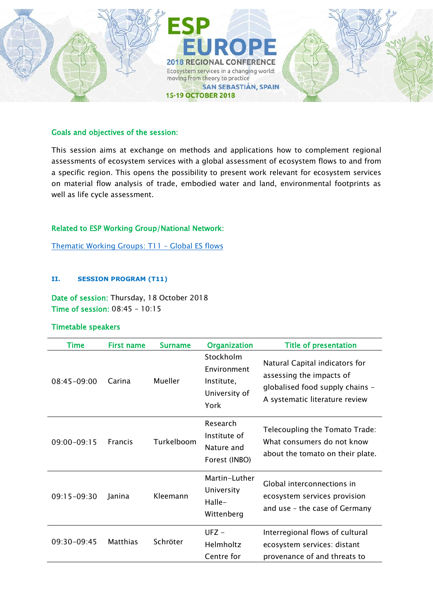

#### Goals and objectives of the session:

This session aims at exchange on methods and applications how to complement regional assessments of ecosystem services with a global assessment of ecosystem flows to and from a specific region. This opens the possibility to present work relevant for ecosystem services on material flow analysis of trade, embodied water and land, environmental footprints as well as life cycle assessment.

# Related to ESP Working Group/National Network:

[Thematic Working Groups: T11](https://www.es-partnership.org/community/workings-groups/thematic-working-groups/twg-11-global-es-flows/) – Global ES flows

#### **II. SESSION PROGRAM (T11)**

Date of session: Thursday, 18 October 2018 Time of session: 08:45 – 10:15

# Timetable speakers

| <b>Time</b>     | <b>First name</b> | <b>Surname</b> | <b>Organization</b>                                             | <b>Title of presentation</b>                                                                                                    |
|-----------------|-------------------|----------------|-----------------------------------------------------------------|---------------------------------------------------------------------------------------------------------------------------------|
| $08:45 - 09:00$ | Carina            | <b>Mueller</b> | Stockholm<br>Environment<br>Institute,<br>University of<br>York | Natural Capital indicators for<br>assessing the impacts of<br>globalised food supply chains -<br>A systematic literature review |
| 09:00-09:15     | <b>Francis</b>    | Turkelboom     | Research<br>Institute of<br>Nature and<br>Forest (INBO)         | Telecoupling the Tomato Trade:<br>What consumers do not know<br>about the tomato on their plate.                                |
| $09:15 - 09:30$ | Janina            | Kleemann       | Martin-Luther<br>University<br>Halle-<br>Wittenberg             | Global interconnections in<br>ecosystem services provision<br>and use - the case of Germany                                     |
| 09:30-09:45     | Matthias          | Schröter       | $UFZ -$<br>Helmholtz<br>Centre for                              | Interregional flows of cultural<br>ecosystem services: distant<br>provenance of and threats to                                  |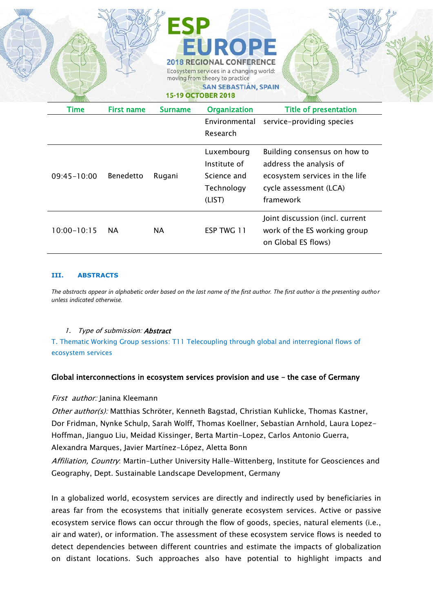|                 |                   |                | EUROPE<br><b>2018 REGIONAL CONFERENCE</b><br>Ecosystem services in a changing world:<br>moving from theory to practice<br><b>SAN SEBASTIÁN, SPAIN</b><br><b>15-19 OCTOBER 2018</b> |                                                                                                                                  |
|-----------------|-------------------|----------------|------------------------------------------------------------------------------------------------------------------------------------------------------------------------------------|----------------------------------------------------------------------------------------------------------------------------------|
| Time            | <b>First name</b> | <b>Surname</b> | <b>Organization</b>                                                                                                                                                                | <b>Title of presentation</b>                                                                                                     |
|                 |                   |                | Environmental<br>Research                                                                                                                                                          | service-providing species                                                                                                        |
| $09:45 - 10:00$ | Benedetto         | Rugani         | Luxembourg<br>Institute of<br>Science and<br>Technology<br>(LIST)                                                                                                                  | Building consensus on how to<br>address the analysis of<br>ecosystem services in the life<br>cycle assessment (LCA)<br>framework |
| $10:00 - 10:15$ | <b>NA</b>         | <b>NA</b>      | ESP TWG 11                                                                                                                                                                         | Joint discussion (incl. current<br>work of the ES working group<br>on Global ES flows)                                           |

 $\mathbb{Z}$  is the  $\mathbb{Z}$ 

#### **III. ABSTRACTS**

*The abstracts appear in alphabetic order based on the last name of the first author. The first author is the presenting author unless indicated otherwise.*

#### 1. Type of submission: **Abstract**

T. Thematic Working Group sessions: T11 Telecoupling through global and interregional flows of ecosystem services

#### Global interconnections in ecosystem services provision and use – the case of Germany

#### First author: Janina Kleemann

Other author(s): Matthias Schröter, Kenneth Bagstad, Christian Kuhlicke, Thomas Kastner, Dor Fridman, Nynke Schulp, Sarah Wolff, Thomas Koellner, Sebastian Arnhold, Laura Lopez-Hoffman, Jianguo Liu, Meidad Kissinger, Berta Martin-Lopez, Carlos Antonio Guerra, Alexandra Marques, Javier Martínez-López, Aletta Bonn

Affiliation, Country: Martin-Luther University Halle-Wittenberg, Institute for Geosciences and Geography, Dept. Sustainable Landscape Development, Germany

In a globalized world, ecosystem services are directly and indirectly used by beneficiaries in areas far from the ecosystems that initially generate ecosystem services. Active or passive ecosystem service flows can occur through the flow of goods, species, natural elements (i.e., air and water), or information. The assessment of these ecosystem service flows is needed to detect dependencies between different countries and estimate the impacts of globalization on distant locations. Such approaches also have potential to highlight impacts and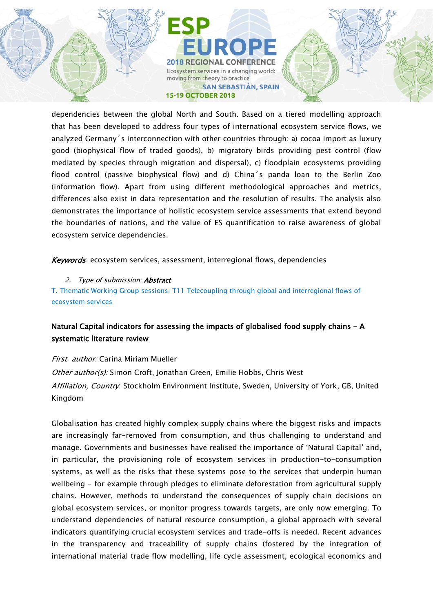dependencies between the global North and South. Based on a tiered modelling approach that has been developed to address four types of international ecosystem service flows, we analyzed Germany´s interconnection with other countries through: a) cocoa import as luxury good (biophysical flow of traded goods), b) migratory birds providing pest control (flow mediated by species through migration and dispersal), c) floodplain ecosystems providing flood control (passive biophysical flow) and d) China´s panda loan to the Berlin Zoo (information flow). Apart from using different methodological approaches and metrics, differences also exist in data representation and the resolution of results. The analysis also demonstrates the importance of holistic ecosystem service assessments that extend beyond the boundaries of nations, and the value of ES quantification to raise awareness of global ecosystem service dependencies.

Keywords: ecosystem services, assessment, interregional flows, dependencies

2. Type of submission: **Abstract** T. Thematic Working Group sessions: T11 Telecoupling through global and interregional flows of ecosystem services

# Natural Capital indicators for assessing the impacts of globalised food supply chains - A systematic literature review

First author: Carina Miriam Mueller Other author(s): Simon Croft, Jonathan Green, Emilie Hobbs, Chris West Affiliation, Country: Stockholm Environment Institute, Sweden, University of York, GB, United Kingdom

Globalisation has created highly complex supply chains where the biggest risks and impacts are increasingly far-removed from consumption, and thus challenging to understand and manage. Governments and businesses have realised the importance of 'Natural Capital' and, in particular, the provisioning role of ecosystem services in production-to-consumption systems, as well as the risks that these systems pose to the services that underpin human wellbeing - for example through pledges to eliminate deforestation from agricultural supply chains. However, methods to understand the consequences of supply chain decisions on global ecosystem services, or monitor progress towards targets, are only now emerging. To understand dependencies of natural resource consumption, a global approach with several indicators quantifying crucial ecosystem services and trade-offs is needed. Recent advances in the transparency and traceability of supply chains (fostered by the integration of international material trade flow modelling, life cycle assessment, ecological economics and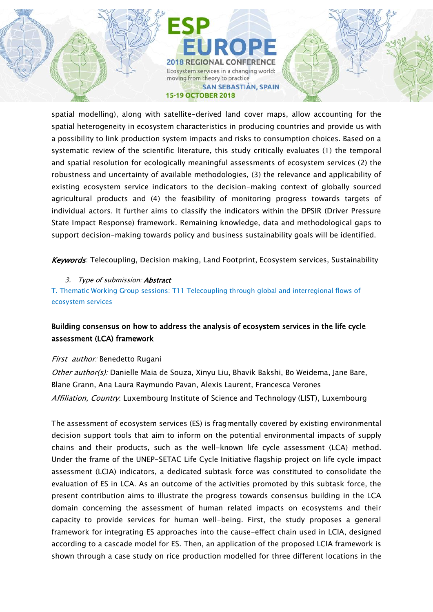spatial modelling), along with satellite-derived land cover maps, allow accounting for the spatial heterogeneity in ecosystem characteristics in producing countries and provide us with a possibility to link production system impacts and risks to consumption choices. Based on a systematic review of the scientific literature, this study critically evaluates (1) the temporal and spatial resolution for ecologically meaningful assessments of ecosystem services (2) the robustness and uncertainty of available methodologies, (3) the relevance and applicability of existing ecosystem service indicators to the decision-making context of globally sourced agricultural products and (4) the feasibility of monitoring progress towards targets of individual actors. It further aims to classify the indicators within the DPSIR (Driver Pressure State Impact Response) framework. Remaining knowledge, data and methodological gaps to support decision-making towards policy and business sustainability goals will be identified.

Keywords: Telecoupling, Decision making, Land Footprint, Ecosystem services, Sustainability

3. Type of submission: **Abstract** 

T. Thematic Working Group sessions: T11 Telecoupling through global and interregional flows of ecosystem services

# Building consensus on how to address the analysis of ecosystem services in the life cycle assessment (LCA) framework

# First author: Benedetto Rugani

Other author(s): Danielle Maia de Souza, Xinyu Liu, Bhavik Bakshi, Bo Weidema, Jane Bare, Blane Grann, Ana Laura Raymundo Pavan, Alexis Laurent, Francesca Verones Affiliation, Country. Luxembourg Institute of Science and Technology (LIST), Luxembourg

The assessment of ecosystem services (ES) is fragmentally covered by existing environmental decision support tools that aim to inform on the potential environmental impacts of supply chains and their products, such as the well-known life cycle assessment (LCA) method. Under the frame of the UNEP-SETAC Life Cycle Initiative flagship project on life cycle impact assessment (LCIA) indicators, a dedicated subtask force was constituted to consolidate the evaluation of ES in LCA. As an outcome of the activities promoted by this subtask force, the present contribution aims to illustrate the progress towards consensus building in the LCA domain concerning the assessment of human related impacts on ecosystems and their capacity to provide services for human well-being. First, the study proposes a general framework for integrating ES approaches into the cause-effect chain used in LCIA, designed according to a cascade model for ES. Then, an application of the proposed LCIA framework is shown through a case study on rice production modelled for three different locations in the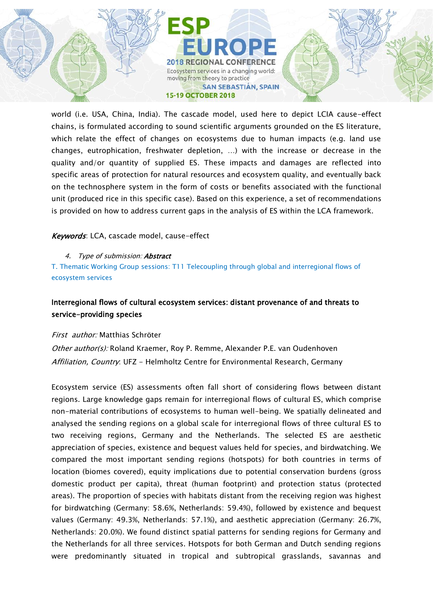world (i.e. USA, China, India). The cascade model, used here to depict LCIA cause-effect chains, is formulated according to sound scientific arguments grounded on the ES literature, which relate the effect of changes on ecosystems due to human impacts (e.g. land use changes, eutrophication, freshwater depletion, …) with the increase or decrease in the quality and/or quantity of supplied ES. These impacts and damages are reflected into specific areas of protection for natural resources and ecosystem quality, and eventually back on the technosphere system in the form of costs or benefits associated with the functional unit (produced rice in this specific case). Based on this experience, a set of recommendations is provided on how to address current gaps in the analysis of ES within the LCA framework.

# Keywords: LCA, cascade model, cause-effect

#### 4. Type of submission: **Abstract**

T. Thematic Working Group sessions: T11 Telecoupling through global and interregional flows of ecosystem services

# Interregional flows of cultural ecosystem services: distant provenance of and threats to service-providing species

# First author: Matthias Schröter

Other author(s): Roland Kraemer, Roy P. Remme, Alexander P.E. van Oudenhoven Affiliation, Country: UFZ - Helmholtz Centre for Environmental Research, Germany

Ecosystem service (ES) assessments often fall short of considering flows between distant regions. Large knowledge gaps remain for interregional flows of cultural ES, which comprise non-material contributions of ecosystems to human well-being. We spatially delineated and analysed the sending regions on a global scale for interregional flows of three cultural ES to two receiving regions, Germany and the Netherlands. The selected ES are aesthetic appreciation of species, existence and bequest values held for species, and birdwatching. We compared the most important sending regions (hotspots) for both countries in terms of location (biomes covered), equity implications due to potential conservation burdens (gross domestic product per capita), threat (human footprint) and protection status (protected areas). The proportion of species with habitats distant from the receiving region was highest for birdwatching (Germany: 58.6%, Netherlands: 59.4%), followed by existence and bequest values (Germany: 49.3%, Netherlands: 57.1%), and aesthetic appreciation (Germany: 26.7%, Netherlands: 20.0%). We found distinct spatial patterns for sending regions for Germany and the Netherlands for all three services. Hotspots for both German and Dutch sending regions were predominantly situated in tropical and subtropical grasslands, savannas and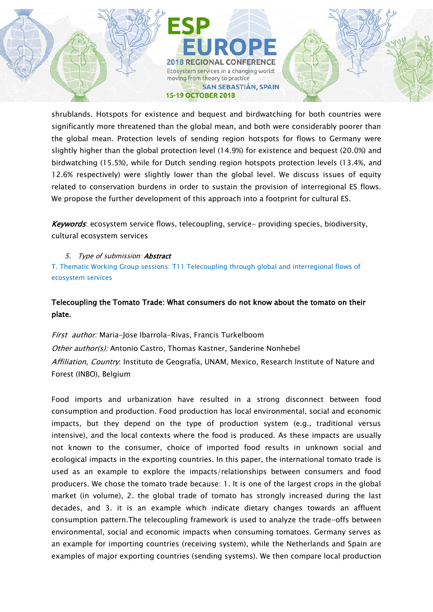shrublands. Hotspots for existence and bequest and birdwatching for both countries were significantly more threatened than the global mean, and both were considerably poorer than the global mean. Protection levels of sending region hotspots for flows to Germany were slightly higher than the global protection level (14.9%) for existence and bequest (20.0%) and birdwatching (15.5%), while for Dutch sending region hotspots protection levels (13.4%, and 12.6% respectively) were slightly lower than the global level. We discuss issues of equity related to conservation burdens in order to sustain the provision of interregional ES flows. We propose the further development of this approach into a footprint for cultural ES.

Keywords: ecosystem service flows, telecoupling, service- providing species, biodiversity, cultural ecosystem services

5. Type of submission: **Abstract** T. Thematic Working Group sessions: T11 Telecoupling through global and interregional flows of ecosystem services

# Telecoupling the Tomato Trade: What consumers do not know about the tomato on their plate.

First author: Maria-Jose Ibarrola-Rivas, Francis Turkelboom Other author(s): Antonio Castro, Thomas Kastner, Sanderine Nonhebel Affiliation, Country. Instituto de Geografía, UNAM, Mexico, Research Institute of Nature and Forest (INBO), Belgium

Food imports and urbanization have resulted in a strong disconnect between food consumption and production. Food production has local environmental, social and economic impacts, but they depend on the type of production system (e.g., traditional versus intensive), and the local contexts where the food is produced. As these impacts are usually not known to the consumer, choice of imported food results in unknown social and ecological impacts in the exporting countries. In this paper, the international tomato trade is used as an example to explore the impacts/relationships between consumers and food producers. We chose the tomato trade because: 1. It is one of the largest crops in the global market (in volume), 2. the global trade of tomato has strongly increased during the last decades, and 3. it is an example which indicate dietary changes towards an affluent consumption pattern.The telecoupling framework is used to analyze the trade-offs between environmental, social and economic impacts when consuming tomatoes. Germany serves as an example for importing countries (receiving system), while the Netherlands and Spain are examples of major exporting countries (sending systems). We then compare local production